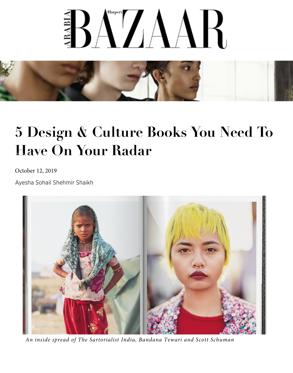## **BAZAAR**



## **[5 Design & Culture Books You Need To](https://bs.serving-sys.com/Serving/adServer.bs?sct=1&ctick=20&clk=1&cn=brd&PluID=0&Pos=3230065540714393&EyeblasterID=1079068468&sessionid=9150935103827179456&usercookie=u2%3Df95bb7fb-86e6-43f3-a568-a9ad6e17aef4&OptOut=0&di=0&dg=1074517243&dgo=1074517243&ncu=https%3A%2F%2Fadclick.g.doubleclick.net%2Fpcs%2Fclick%3Fxai%3DAKAOjsvli0nWexCZRVdAXGv-poPHsJT6gUDbAAYp3zUD6qzXt2plpBjW0hTXPZpjdIjZozdwfm-QYkPCH1cmlVfrBG2zOUKum-k8Hriy28D6eR_XpSKWY4UddSzvDQ9o3YHhsUBn0M1vmQ_vuxdGFZJk9lfKnckocPtb8Ee3dp9QbAuftTnQnBWVGCnsLQdx2fUOrsskXx0T7euCOm5USFg3X0ZvNmdtuJb97qhUTjds5nyZD9rW0cI7_WfpGDLgLIlaoAF6MsCXiCzSP94FLt4%26sai%3DAMfl-YQ6XXBKmUoiBaIVsh7sBDx_wcFKcaed9xZHPeITd271zwoprpjgBQ89KMMTvnJlol_PekAHru8p61bYGBkm9ub0ZdxgOFKU-6Vozrbj%26sig%3DCg0ArKJSzEEIqh42ATd_EAE%26urlfix%3D1%26adurl%3D&ebReferrer=https%3A%2F%2Fwww.harpersbazaararabia.com%2Finteriors%2Fnews%2Fdesign-books-you-need-on-your-radar) Have On Your Radar**

October 12, 2019

[Ayesha Sohail Shehmir Shaikh](https://bs.serving-sys.com/Serving/adServer.bs?sct=1&ctick=21&clk=1&cn=brd&PluID=0&Pos=959587353549741&EyeblasterID=1079068468&sessionid=9150935103827179456&usercookie=u2%3Df95bb7fb-86e6-43f3-a568-a9ad6e17aef4&OptOut=0&di=0&dg=1074517243&dgo=1074517243&ncu=https%3A%2F%2Fadclick.g.doubleclick.net%2Fpcs%2Fclick%3Fxai%3DAKAOjsvli0nWexCZRVdAXGv-poPHsJT6gUDbAAYp3zUD6qzXt2plpBjW0hTXPZpjdIjZozdwfm-QYkPCH1cmlVfrBG2zOUKum-k8Hriy28D6eR_XpSKWY4UddSzvDQ9o3YHhsUBn0M1vmQ_vuxdGFZJk9lfKnckocPtb8Ee3dp9QbAuftTnQnBWVGCnsLQdx2fUOrsskXx0T7euCOm5USFg3X0ZvNmdtuJb97qhUTjds5nyZD9rW0cI7_WfpGDLgLIlaoAF6MsCXiCzSP94FLt4%26sai%3DAMfl-YQ6XXBKmUoiBaIVsh7sBDx_wcFKcaed9xZHPeITd271zwoprpjgBQ89KMMTvnJlol_PekAHru8p61bYGBkm9ub0ZdxgOFKU-6Vozrbj%26sig%3DCg0ArKJSzEEIqh42ATd_EAE%26urlfix%3D1%26adurl%3D&ebReferrer=https%3A%2F%2Fwww.harpersbazaararabia.com%2Finteriors%2Fnews%2Fdesign-books-you-need-on-your-radar)



*An inside spread of The Sartorialist India, Bandana Tewari and Scott Schuman*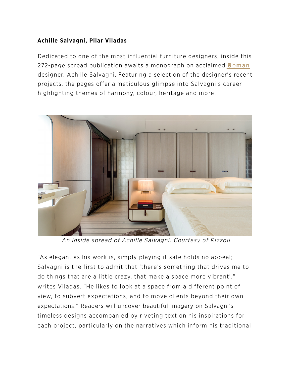## Achille Salvagni, Pilar Viladas

Dedicated to one of the most influential furniture designers, insi[de this](https://www.harpersbazaararabia.com/fashion/watches-jewellery/ralph-masri-launches-ancient-roman-architecture-inspired-jewellery-collection-heliopolis) 272-page spread publication awaits a monograph on acclaimed Roman designer, Achille Salvagni. Featuring a selection of the designer's recent projects, the pages offer a meticulous glimpse into Salvagni's career highlighting themes of harmony, colour, heritage and more.



An inside spread of Achille Salvagni. Courtesy of Rizzoli

"As elegant as his work is, simply playing it safe holds no appeal; Salvagni is the first to admit that 'there's something that drives me to do things that are a little crazy, that make a space more vibrant'," writes Viladas. "He likes to look at a space from a different point of view, to subvert expectations, and to move clients beyond their own expectations." Readers will uncover beautiful imagery on Salvagni's timeless designs accompanied by riveting text on his inspirations for each project, particularly on the narratives which inform his traditional